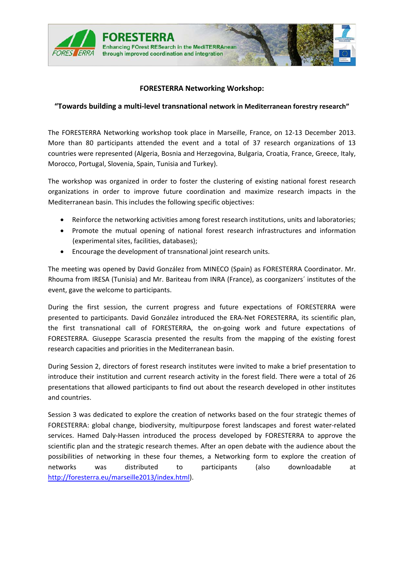

## **FORESTERRA Networking Workshop:**

## **"Towards building a multi‐level transnational network in Mediterranean forestry research"**

The FORESTERRA Networking workshop took place in Marseille, France, on 12‐13 December 2013. More than 80 participants attended the event and a total of 37 research organizations of 13 countries were represented (Algeria, Bosnia and Herzegovina, Bulgaria, Croatia, France, Greece, Italy, Morocco, Portugal, Slovenia, Spain, Tunisia and Turkey).

The workshop was organized in order to foster the clustering of existing national forest research organizations in order to improve future coordination and maximize research impacts in the Mediterranean basin. This includes the following specific objectives:

- Reinforce the networking activities among forest research institutions, units and laboratories;
- Promote the mutual opening of national forest research infrastructures and information (experimental sites, facilities, databases);
- Encourage the development of transnational joint research units.

The meeting was opened by David González from MINECO (Spain) as FORESTERRA Coordinator. Mr. Rhouma from IRESA (Tunisia) and Mr. Bariteau from INRA (France), as coorganizers´ institutes of the event, gave the welcome to participants.

During the first session, the current progress and future expectations of FORESTERRA were presented to participants. David González introduced the ERA‐Net FORESTERRA, its scientific plan, the first transnational call of FORESTERRA, the on‐going work and future expectations of FORESTERRA. Giuseppe Scarascia presented the results from the mapping of the existing forest research capacities and priorities in the Mediterranean basin.

During Session 2, directors of forest research institutes were invited to make a brief presentation to introduce their institution and current research activity in the forest field. There were a total of 26 presentations that allowed participants to find out about the research developed in other institutes and countries.

Session 3 was dedicated to explore the creation of networks based on the four strategic themes of FORESTERRA: global change, biodiversity, multipurpose forest landscapes and forest water‐related services. Hamed Daly-Hassen introduced the process developed by FORESTERRA to approve the scientific plan and the strategic research themes. After an open debate with the audience about the possibilities of networking in these four themes, a Networking form to explore the creation of networks was distributed to participants (also downloadable at <http://foresterra.eu/marseille2013/index.html>).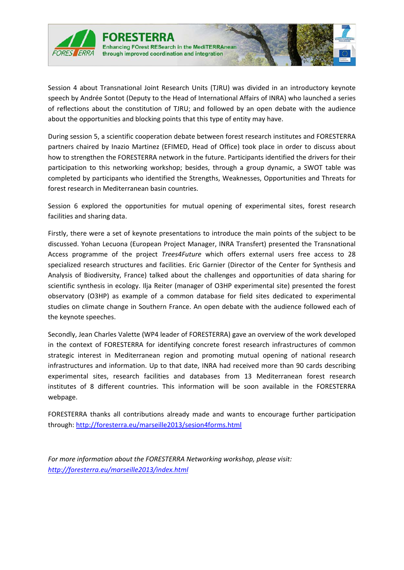

Session 4 about Transnational Joint Research Units (TJRU) was divided in an introductory keynote speech by Andrée Sontot (Deputy to the Head of International Affairs of INRA) who launched a series of reflections about the constitution of TJRU; and followed by an open debate with the audience about the opportunities and blocking points that this type of entity may have.

During session 5, a scientific cooperation debate between forest research institutes and FORESTERRA partners chaired by Inazio Martinez (EFIMED, Head of Office) took place in order to discuss about how to strengthen the FORESTERRA network in the future. Participants identified the drivers for their participation to this networking workshop; besides, through a group dynamic, a SWOT table was completed by participants who identified the Strengths, Weaknesses, Opportunities and Threats for forest research in Mediterranean basin countries.

Session 6 explored the opportunities for mutual opening of experimental sites, forest research facilities and sharing data.

Firstly, there were a set of keynote presentations to introduce the main points of the subject to be discussed. Yohan Lecuona (European Project Manager, INRA Transfert) presented the Transnational Access programme of the project *Trees4Future* which offers external users free access to 28 specialized research structures and facilities. Eric Garnier (Director of the Center for Synthesis and Analysis of Biodiversity, France) talked about the challenges and opportunities of data sharing for scientific synthesis in ecology. Ilja Reiter (manager of O3HP experimental site) presented the forest observatory (O3HP) as example of a common database for field sites dedicated to experimental studies on climate change in Southern France. An open debate with the audience followed each of the keynote speeches.

Secondly, Jean Charles Valette (WP4 leader of FORESTERRA) gave an overview of the work developed in the context of FORESTERRA for identifying concrete forest research infrastructures of common strategic interest in Mediterranean region and promoting mutual opening of national research infrastructures and information. Up to that date, INRA had received more than 90 cards describing experimental sites, research facilities and databases from 13 Mediterranean forest research institutes of 8 different countries. This information will be soon available in the FORESTERRA webpage.

FORESTERRA thanks all contributions already made and wants to encourage further participation through: <http://foresterra.eu/marseille2013/sesion4forms.html>

*For more information about the FORESTERRA Networking workshop, please visit: <http://foresterra.eu/marseille2013/index.html>*